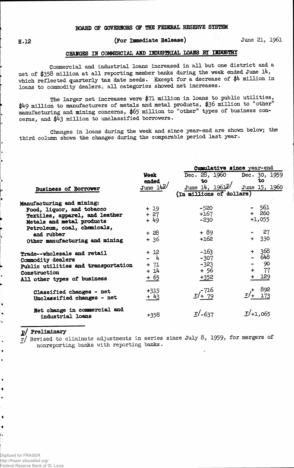## **g.12 (For Immediate Release) June 21, 1961**

## **CTTAWO^ IK COMMERCIAL AND INDUSTRIAL LOAMS BY IBDOSTRY**

**Commercial and industrial loans increased in all but one district and a net of \$358 million at all reporting member banks during the week ended June l4, which, reflected quarterly tax date needs. Except for a decrease of \$4 million in loans to commodity dealers, all categories showed net increases.**

**The larger net increases were \$%1 million in loans to public utilities, \$4-9 million to manufacturers of metals and metal products, \$36 million to other manufacturing and mining concerns, \$65 million to "other" types of business concerns, and \$43 million to unclassified borrowers.**

**Changes in loans during the week and since year-end are shown below; the third column shows the changes during the comparable period last year.**

|                                                        |                      | Cumulative since year-end                         |                     |  |  |  |  |  |
|--------------------------------------------------------|----------------------|---------------------------------------------------|---------------------|--|--|--|--|--|
|                                                        | <b>Week</b><br>ended | Dec. 28, 1960 Dec. 30, 1959<br>to                 | to.                 |  |  |  |  |  |
| Business of Borrower                                   | June 14P/            | $J$ une 14, 1961 $P'$<br>(In millions of dollars) | June 15, 1960       |  |  |  |  |  |
| Manufacturing and mining:                              |                      |                                                   |                     |  |  |  |  |  |
| Food, liquor, and tobacco                              | $+19$                | $-520$                                            | - 561               |  |  |  |  |  |
| Textiles, apparel, and leather                         | $+27$                | +167                                              | $+260$              |  |  |  |  |  |
| Metals and metal products                              | + 49                 | -230                                              | $+1,055$            |  |  |  |  |  |
| Petroleum, coal, chemicals,                            |                      |                                                   |                     |  |  |  |  |  |
| and rubber                                             | $+28$                | + 89                                              | 27                  |  |  |  |  |  |
| Other manufacturing and mining                         | + 36                 | $+162$                                            | 330<br>$+$          |  |  |  |  |  |
| Trade--wholesale and retail                            | $+12$                | $-163$                                            | + 368               |  |  |  |  |  |
| Commodity dealers                                      | $-4$                 | $-307$                                            | - 648               |  |  |  |  |  |
| Public utilities and transportation                    | $+ 71$               | $-323$                                            | $-90$               |  |  |  |  |  |
| Construction                                           | + 14                 | $+56$                                             | - 77<br>$\div$      |  |  |  |  |  |
| All other types of business                            | <u>+ 65</u>          | $+352$                                            | 129                 |  |  |  |  |  |
| Classified changes - net<br>Unclassified changes - net | $+315$<br>$+43$      | $\frac{x}{14}$ $\frac{716}{79}$                   | 892<br>173          |  |  |  |  |  |
| Net change in commercial and<br>industrial loans       | +358                 | $\frac{r}{-637}$                                  | $\frac{r}{+1}$ ,065 |  |  |  |  |  |

**j>/ Preliminary**

ı,

 $\ddot{\phantom{0}}$  $\bullet$  $\ddot{\phantom{0}}$  **r/ Revised to eliminate adjustments in series since July 8, 1959, for mergers of ~ nonreporting banks with reporting banks.**

Digitized for FRASER http://fraser.stlouisfed.org/ Federal Reserve Bank of St. Louis